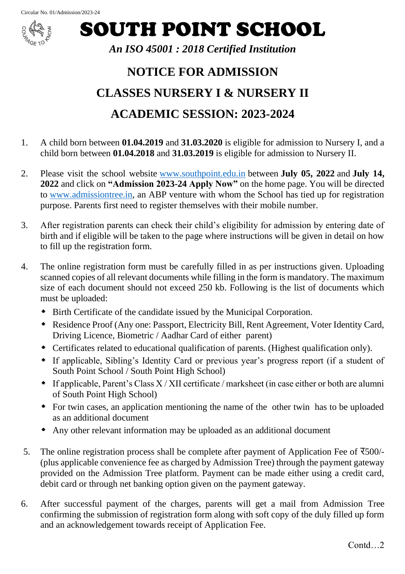

SOUTH POINT SCHOOL

## *An ISO 45001 : 2018 Certified Institution*

## **NOTICE FOR ADMISSION CLASSES NURSERY I & NURSERY II ACADEMIC SESSION: 2023-2024**

- 1. A child born between **01.04.2019** and **31.03.2020** is eligible for admission to Nursery I, and a child born between **01.04.2018** and **31.03.2019** is eligible for admission to Nursery II.
- 2. Please visit the school website [www.southpoint.edu.in](https://www.southpoint.edu.in/) between **July 05, 2022** and **July 14, 2022** and click on **"Admission 2023-24 Apply Now"** on the home page. You will be directed to [www.admissiontree.in,](https://www.admissiontree.in/) an ABP venture with whom the School has tied up for registration purpose. Parents first need to register themselves with their mobile number.
- 3. After registration parents can check their child's eligibility for admission by entering date of birth and if eligible will be taken to the page where instructions will be given in detail on how to fill up the registration form.
- 4. The online registration form must be carefully filled in as per instructions given. Uploading scanned copies of all relevant documents while filling in the form is mandatory. The maximum size of each document should not exceed 250 kb. Following is the list of documents which must be uploaded:
	- Birth Certificate of the candidate issued by the Municipal Corporation.
	- Residence Proof (Any one: Passport, Electricity Bill, Rent Agreement, Voter Identity Card, Driving Licence, Biometric / Aadhar Card of either parent)
	- Certificates related to educational qualification of parents. (Highest qualification only).
	- If applicable, Sibling's Identity Card or previous year's progress report (if a student of South Point School / South Point High School)
	- $\bullet$  If applicable, Parent's Class X / XII certificate / marksheet (in case either or both are alumni of South Point High School)
	- For twin cases, an application mentioning the name of the other twin has to be uploaded as an additional document
	- Any other relevant information may be uploaded as an additional document
- 5. The online registration process shall be complete after payment of Application Fee of  $\overline{5500/-}$ (plus applicable convenience fee as charged by Admission Tree) through the payment gateway provided on the Admission Tree platform. Payment can be made either using a credit card, debit card or through net banking option given on the payment gateway.
- 6. After successful payment of the charges, parents will get a mail from Admission Tree confirming the submission of registration form along with soft copy of the duly filled up form and an acknowledgement towards receipt of Application Fee.